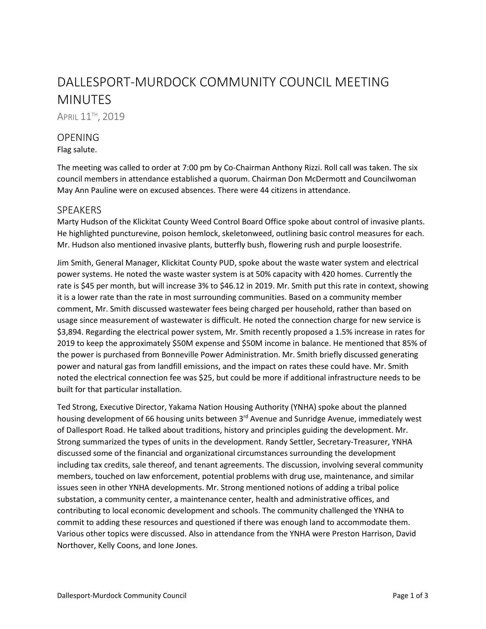# DALLESPORT-MURDOCK COMMUNITY COUNCIL MEETING MINUTES

APRIL 11<sup>TH</sup>, 2019

## **OPENING**

Flag salute.

The meeting was called to order at 7:00 pm by Co-Chairman Anthony Rizzi. Roll call was taken. The six council members in attendance established a quorum. Chairman Don McDermott and Councilwoman May Ann Pauline were on excused absences. There were 44 citizens in attendance.

#### **SPEAKERS**

Marty Hudson of the Klickitat County Weed Control Board Office spoke about control of invasive plants. He highlighted puncturevine, poison hemlock, skeletonweed, outlining basic control measures for each. Mr. Hudson also mentioned invasive plants, butterfly bush, flowering rush and purple loosestrife.

Jim Smith, General Manager, Klickitat County PUD, spoke about the waste water system and electrical power systems. He noted the waste waster system is at 50% capacity with 420 homes. Currently the rate is \$45 per month, but will increase 3% to \$46.12 in 2019. Mr. Smith put this rate in context, showing it is a lower rate than the rate in most surrounding communities. Based on a community member comment, Mr. Smith discussed wastewater fees being charged per household, rather than based on usage since measurement of wastewater is difficult. He noted the connection charge for new service is \$3,894. Regarding the electrical power system, Mr. Smith recently proposed a 1.5% increase in rates for 2019 to keep the approximately \$50M expense and \$50M income in balance. He mentioned that 85% of the power is purchased from Bonneville Power Administration. Mr. Smith briefly discussed generating power and natural gas from landfill emissions, and the impact on rates these could have. Mr. Smith noted the electrical connection fee was \$25, but could be more if additional infrastructure needs to be built for that particular installation.

Ted Strong, Executive Director, Yakama Nation Housing Authority (YNHA) spoke about the planned housing development of 66 housing units between 3<sup>rd</sup> Avenue and Sunridge Avenue, immediately west of Dallesport Road. He talked about traditions, history and principles guiding the development. Mr. Strong summarized the types of units in the development. Randy Settler, Secretary-Treasurer, YNHA discussed some of the financial and organizational circumstances surrounding the development including tax credits, sale thereof, and tenant agreements. The discussion, involving several community members, touched on law enforcement, potential problems with drug use, maintenance, and similar issues seen in other YNHA developments. Mr. Strong mentioned notions of adding a tribal police substation, a community center, a maintenance center, health and administrative offices, and contributing to local economic development and schools. The community challenged the YNHA to commit to adding these resources and questioned if there was enough land to accommodate them. Various other topics were discussed. Also in attendance from the YNHA were Preston Harrison, David Northover, Kelly Coons, and Ione Jones.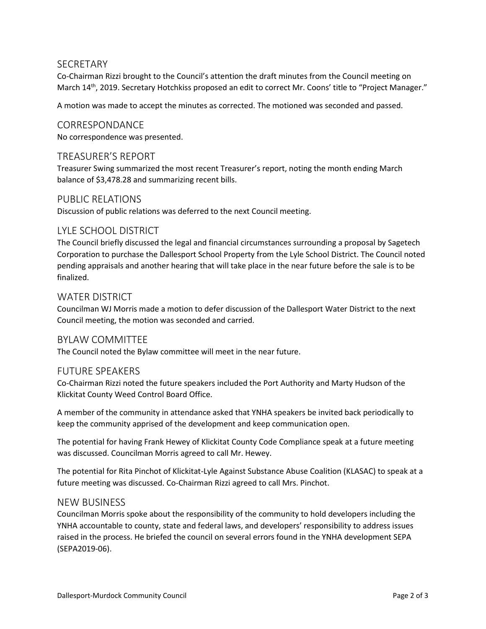## SECRETARY

Co-Chairman Rizzi brought to the Council's attention the draft minutes from the Council meeting on March 14<sup>th</sup>, 2019. Secretary Hotchkiss proposed an edit to correct Mr. Coons' title to "Project Manager."

A motion was made to accept the minutes as corrected. The motioned was seconded and passed.

### CORRESPONDANCE

No correspondence was presented.

## TREASURER'S REPORT

Treasurer Swing summarized the most recent Treasurer's report, noting the month ending March balance of \$3,478.28 and summarizing recent bills.

#### PUBLIC RELATIONS

Discussion of public relations was deferred to the next Council meeting.

## LYLE SCHOOL DISTRICT

The Council briefly discussed the legal and financial circumstances surrounding a proposal by Sagetech Corporation to purchase the Dallesport School Property from the Lyle School District. The Council noted pending appraisals and another hearing that will take place in the near future before the sale is to be finalized.

#### WATER DISTRICT

Councilman WJ Morris made a motion to defer discussion of the Dallesport Water District to the next Council meeting, the motion was seconded and carried.

#### BYLAW COMMITTEE

The Council noted the Bylaw committee will meet in the near future.

#### FUTURE SPEAKERS

Co-Chairman Rizzi noted the future speakers included the Port Authority and Marty Hudson of the Klickitat County Weed Control Board Office.

A member of the community in attendance asked that YNHA speakers be invited back periodically to keep the community apprised of the development and keep communication open.

The potential for having Frank Hewey of Klickitat County Code Compliance speak at a future meeting was discussed. Councilman Morris agreed to call Mr. Hewey.

The potential for Rita Pinchot of Klickitat-Lyle Against Substance Abuse Coalition (KLASAC) to speak at a future meeting was discussed. Co-Chairman Rizzi agreed to call Mrs. Pinchot.

#### NEW BUSINESS

Councilman Morris spoke about the responsibility of the community to hold developers including the YNHA accountable to county, state and federal laws, and developers' responsibility to address issues raised in the process. He briefed the council on several errors found in the YNHA development SEPA (SEPA2019-06).